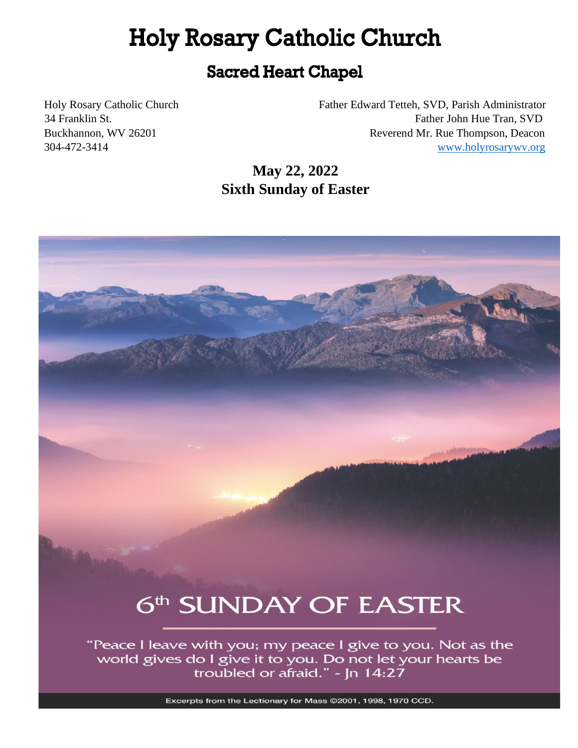# **Holy Rosary Catholic Church**

# **Sacred Heart Chapel**

Holy Rosary Catholic Church Father Edward Tetteh, SVD, Parish Administrator 34 Franklin St. Father John Hue Tran, SVD Buckhannon, WV 26201 Reverend Mr. Rue Thompson, Deacon 304-472-3414 [www.holyrosarywv.org](http://www.holyrosarywv.org/)

> **May 22, 2022 Sixth Sunday of Easter**



"Peace I leave with you; my peace I give to you. Not as the world gives do I give it to you. Do not let your hearts be troubled or afraid." - Jn 14:27

Excerpts from the Lectionary for Mass @2001, 1998, 1970 CCD.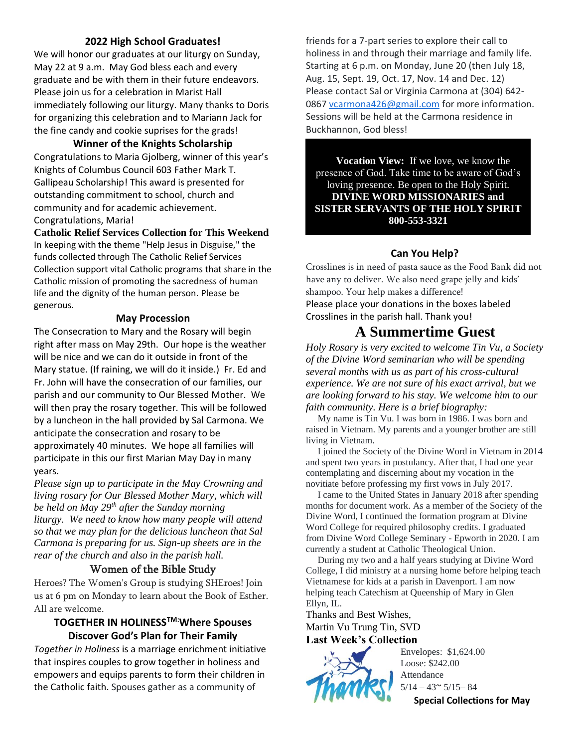#### **2022 High School Graduates!**

We will honor our graduates at our liturgy on Sunday, May 22 at 9 a.m. May God bless each and every graduate and be with them in their future endeavors. Please join us for a celebration in Marist Hall immediately following our liturgy. Many thanks to Doris for organizing this celebration and to Mariann Jack for the fine candy and cookie suprises for the grads!

**Winner of the Knights Scholarship**

Congratulations to Maria Gjolberg, winner of this year's Knights of Columbus Council 603 Father Mark T. Gallipeau Scholarship! This award is presented for outstanding commitment to school, church and community and for academic achievement. Congratulations, Maria!

**Catholic Relief Services Collection for This Weekend**

In keeping with the theme "Help Jesus in Disguise," the funds collected through The Catholic Relief Services Collection support vital Catholic programs that share in the Catholic mission of promoting the sacredness of human life and the dignity of the human person. Please be generous.

#### **May Procession**

The Consecration to Mary and the Rosary will begin right after mass on May 29th. Our hope is the weather will be nice and we can do it outside in front of the Mary statue. (If raining, we will do it inside.) Fr. Ed and Fr. John will have the consecration of our families, our parish and our community to Our Blessed Mother. We will then pray the rosary together. This will be followed by a luncheon in the hall provided by Sal Carmona. We anticipate the consecration and rosary to be approximately 40 minutes. We hope all families will participate in this our first Marian May Day in many years.

*Please sign up to participate in the May Crowning and living rosary for Our Blessed Mother Mary, which will be held on May 29th after the Sunday morning liturgy. We need to know how many people will attend so that we may plan for the delicious luncheon that Sal Carmona is preparing for us. Sign-up sheets are in the rear of the church and also in the parish hall.*

# Women of the Bible Study

Heroes? The Women's Group is studying SHEroes! Join us at 6 pm on Monday to learn about the Book of Esther. All are welcome.

#### **TOGETHER IN HOLINESSTM:Where Spouses Discover God's Plan for Their Family**

*Together in Holiness* is a marriage enrichment initiative that inspires couples to grow together in holiness and empowers and equips parents to form their children in the Catholic faith. Spouses gather as a community of

friends for a 7-part series to explore their call to holiness in and through their marriage and family life. Starting at 6 p.m. on Monday, June 20 (then July 18, Aug. 15, Sept. 19, Oct. 17, Nov. 14 and Dec. 12) Please contact Sal or Virginia Carmona at (304) 642 0867 [vcarmona426@gmail.com](mailto:vcarmona426@gmail.com) for more information. Sessions will be held at the Carmona residence in Buckhannon, God bless!

**Vocation View:** If we love, we know the presence of God. Take time to be aware of God's loving presence. Be open to the Holy Spirit. **DIVINE WORD MISSIONARIES and SISTER SERVANTS OF THE HOLY SPIRIT 800-553-3321**

#### **Can You Help?**

Crosslines is in need of pasta sauce as the Food Bank did not have any to deliver. We also need grape jelly and kids' shampoo. Your help makes a difference! Please place your donations in the boxes labeled Crosslines in the parish hall. Thank you!

# **A Summertime Guest**

*Holy Rosary is very excited to welcome Tin Vu, a Society of the Divine Word seminarian who will be spending several months with us as part of his cross-cultural experience. We are not sure of his exact arrival, but we are looking forward to his stay. We welcome him to our faith community. Here is a brief biography:*

 My name is Tin Vu. I was born in 1986. I was born and raised in Vietnam. My parents and a younger brother are still living in Vietnam.

 I joined the Society of the Divine Word in Vietnam in 2014 and spent two years in postulancy. After that, I had one year contemplating and discerning about my vocation in the novitiate before professing my first vows in July 2017.

 I came to the United States in January 2018 after spending months for document work. As a member of the Society of the Divine Word, I continued the formation program at Divine Word College for required philosophy credits. I graduated from Divine Word College Seminary - Epworth in 2020. I am currently a student at Catholic Theological Union.

 During my two and a half years studying at Divine Word College, I did ministry at a nursing home before helping teach Vietnamese for kids at a parish in Davenport. I am now helping teach Catechism at Queenship of Mary in Glen Ellyn, IL.

Thanks and Best Wishes, Martin Vu Trung Tin, SVD **Last Week's Collection**



Envelopes: \$1,624.00 Loose: \$242.00 Attendance  $5/14 - 43$   $\sim$   $5/15 - 84$ **Special Collections for May**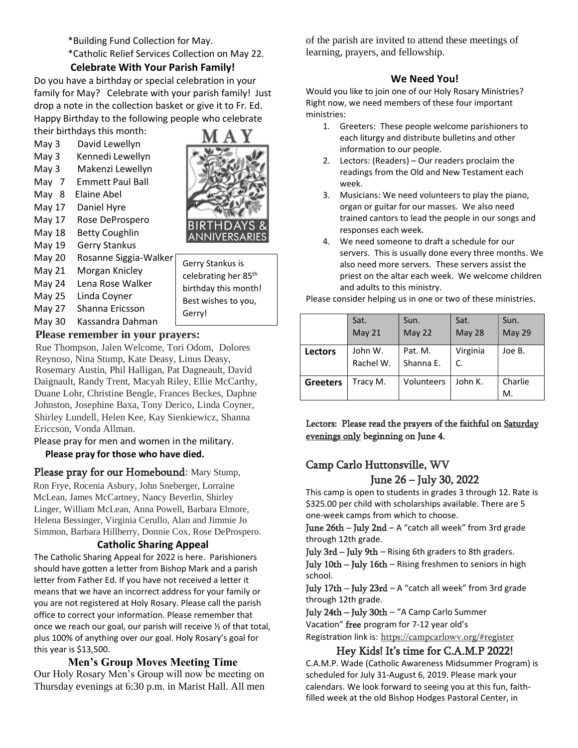\*Building Fund Collection for May.

\*Catholic Relief Services Collection on May 22.

#### **Celebrate With Your Parish Family!**

Do you have a birthday or special celebration in your family for May? Celebrate with your parish family! Just drop a note in the collection basket or give it to Fr. Ed. Happy Birthday to the following people who celebrate their birthdays this month:

- May 3 David Lewellyn
- May 3 Kennedi Lewellyn
- May 3 Makenzi Lewellyn
- May 7 Emmett Paul Ball
- May 8 Elaine Abel
- May 17 Daniel Hyre
- May 17 Rose DeProspero
- May 18 Betty Coughlin
- May 19 Gerry Stankus
- May 20 Rosanne Siggia-Walker
- May 21 Morgan Knicley
- May 24 Lena Rose Walker
- May 25 Linda Coyner
- May 27 Shanna Ericsson
- May 30 Kassandra Dahman

# **Please remember in your prayers:**

Rue Thompson, Jalen Welcome, Tori Odom, Dolores Reynoso, Nina Stump, Kate Deasy, Linus Deasy, Rosemary Austin, Phil Halligan, Pat Dagneault, David Daignault, Randy Trent, Macyah Riley, Ellie McCarthy, Duane Lohr, Christine Bengle, Frances Beckes, Daphne Johnston, Josephine Baxa, Tony Derico, Linda Coyner, Shirley Lundell, Helen Kee, Kay Sienkiewicz, Shanna Ericcson, Vonda Allman.

Please pray for men and women in the military. **Please pray for those who have died.** 

# Please pray for our Homebound: Mary Stump,

Ron Frye, Rocenia Asbury, John Sneberger, Lorraine McLean, James McCartney, Nancy Beverlin, Shirley Linger, William McLean, Anna Powell, Barbara Elmore, Helena Bessinger, Virginia Cerullo, Alan and Jimmie Jo Simmon, Barbara Hillberry, Donnie Cox, Rose DeProspero.

#### **Catholic Sharing Appeal**

The Catholic Sharing Appeal for 2022 is here. Parishioners should have gotten a letter from Bishop Mark and a parish letter from Father Ed. If you have not received a letter it means that we have an incorrect address for your family or you are not registered at Holy Rosary. Please call the parish office to correct your information. Please remember that once we reach our goal, our parish will receive ½ of that total, plus 100% of anything over our goal. Holy Rosary's goal for this year is \$13,500.

# **Men's Group Moves Meeting Time**

Our Holy Rosary Men's Group will now be meeting on Thursday evenings at 6:30 p.m. in Marist Hall. All men of the parish are invited to attend these meetings of learning, prayers, and fellowship.

#### **We Need You!**

Would you like to join one of our Holy Rosary Ministries? Right now, we need members of these four important ministries:

- 1. Greeters: These people welcome parishioners to each liturgy and distribute bulletins and other information to our people.
- 2. Lectors: (Readers) Our readers proclaim the readings from the Old and New Testament each week.
- 3. Musicians: We need volunteers to play the piano, organ or guitar for our masses. We also need trained cantors to lead the people in our songs and responses each week.
- 4. We need someone to draft a schedule for our servers. This is usually done every three months. We also need more servers. These servers assist the priest on the altar each week. We welcome children and adults to this ministry.

Please consider helping us in one or two of these ministries.

|                 | Sat.<br>May 21       | Sun.<br>May 22       | Sat.<br><b>May 28</b> | Sun.<br><b>May 29</b> |
|-----------------|----------------------|----------------------|-----------------------|-----------------------|
| <b>Lectors</b>  | John W.<br>Rachel W. | Pat. M.<br>Shanna E. | Virginia<br>C.        | Joe B.                |
| <b>Greeters</b> | Tracy M.             | Volunteers           | John K.               | Charlie<br>M.         |

Lectors: Please read the prayers of the faithful on Saturday evenings only beginning on June 4.

# Camp Carlo Huttonsville, WV June 26 – July 30, 2022

This camp is open to students in grades 3 through 12. Rate is \$325.00 per child with scholarships available. There are 5 one-week camps from which to choose.

June 26th – July 2nd – A "catch all week" from 3rd grade through 12th grade.

July 3rd – July 9th – Rising 6th graders to 8th graders.

July 10th – July 16th – Rising freshmen to seniors in high school.

July 17th – July 23rd – A "catch all week" from 3rd grade through 12th grade.

July 24th – July 30th – "A Camp Carlo Summer Vacation" free program for 7-12 year old's Registration link is: [https://campcarlowv.org/#register](https://email-mg.flocknote.com/c/eJwdzTkOgzAQQNHT4BLNjDdSuEjDPeyxWRRgkLGS6ydE-tVvXg4eNXmj1kBABBYRBwD0fUJn85CNJsOWS-4MTJvw65BWepZdLSGRc4BpYgueKDvHA6VodDIRMjwmtYWltfPq9LOj8RfH_eRYN_m8e6nzf-pa5vVqpaoa8imRl1uqcrS11Bv6ApTwMW0)

#### Hey Kids! It's time for C.A.M.P 2022!

C.A.M.P. Wade (Catholic Awareness Midsummer Program) is scheduled for July 31-August 6, 2019. Please mark your calendars. We look forward to seeing you at this fun, faithfilled week at the old Bishop Hodges Pastoral Center, in



Gerry!